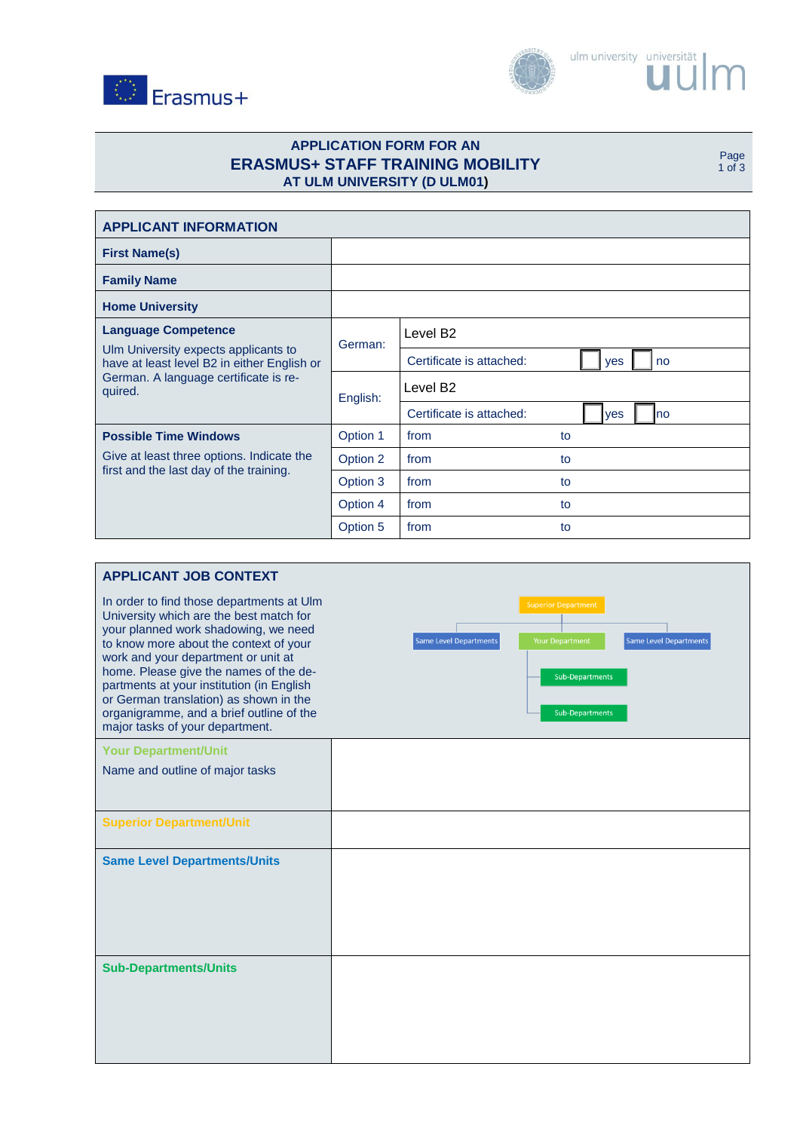



# **APPLICATION FORM FOR AN ERASMUS+ STAFF TRAINING MOBILITY AT ULM UNIVERSITY (D ULM01)**

Page 1 of 3

| <b>APPLICANT INFORMATION</b>                                                                                                                                          |          |                                              |  |  |
|-----------------------------------------------------------------------------------------------------------------------------------------------------------------------|----------|----------------------------------------------|--|--|
| <b>First Name(s)</b>                                                                                                                                                  |          |                                              |  |  |
| <b>Family Name</b>                                                                                                                                                    |          |                                              |  |  |
| <b>Home University</b>                                                                                                                                                |          |                                              |  |  |
| <b>Language Competence</b><br>Ulm University expects applicants to<br>have at least level B2 in either English or<br>German. A language certificate is re-<br>quired. | German:  | Level B <sub>2</sub>                         |  |  |
|                                                                                                                                                                       |          | Certificate is attached:<br>no<br><b>ves</b> |  |  |
|                                                                                                                                                                       | English: | Level B <sub>2</sub>                         |  |  |
|                                                                                                                                                                       |          | Certificate is attached:<br>no<br>yes        |  |  |
| <b>Possible Time Windows</b>                                                                                                                                          | Option 1 | from<br>to                                   |  |  |
| Give at least three options. Indicate the<br>first and the last day of the training.                                                                                  | Option 2 | from<br>to                                   |  |  |
|                                                                                                                                                                       | Option 3 | from<br>to                                   |  |  |
|                                                                                                                                                                       | Option 4 | from<br>to                                   |  |  |
|                                                                                                                                                                       | Option 5 | from<br>to                                   |  |  |

| <b>APPLICANT JOB CONTEXT</b>                                                                                                                                                                                                                                                                                                                                                                                                  |                                                                                                                                                                            |
|-------------------------------------------------------------------------------------------------------------------------------------------------------------------------------------------------------------------------------------------------------------------------------------------------------------------------------------------------------------------------------------------------------------------------------|----------------------------------------------------------------------------------------------------------------------------------------------------------------------------|
| In order to find those departments at Ulm<br>University which are the best match for<br>your planned work shadowing, we need<br>to know more about the context of your<br>work and your department or unit at<br>home. Please give the names of the de-<br>partments at your institution (in English<br>or German translation) as shown in the<br>organigramme, and a brief outline of the<br>major tasks of your department. | <b>Superior Department</b><br><b>Your Department</b><br><b>Same Level Departments</b><br><b>Same Level Departments</b><br><b>Sub-Departments</b><br><b>Sub-Departments</b> |
| <b>Your Department/Unit</b>                                                                                                                                                                                                                                                                                                                                                                                                   |                                                                                                                                                                            |
| Name and outline of major tasks                                                                                                                                                                                                                                                                                                                                                                                               |                                                                                                                                                                            |
| <b>Superior Department/Unit</b>                                                                                                                                                                                                                                                                                                                                                                                               |                                                                                                                                                                            |
| <b>Same Level Departments/Units</b>                                                                                                                                                                                                                                                                                                                                                                                           |                                                                                                                                                                            |
| <b>Sub-Departments/Units</b>                                                                                                                                                                                                                                                                                                                                                                                                  |                                                                                                                                                                            |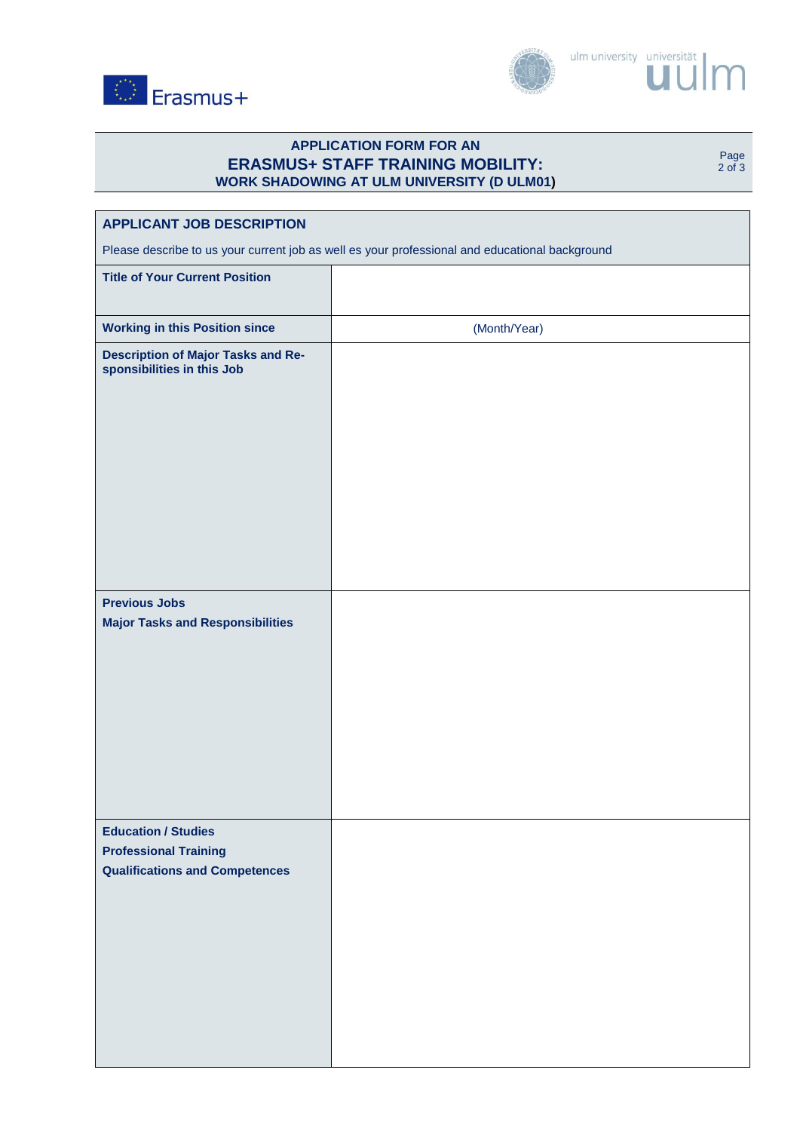



## **APPLICATION FORM FOR AN ERASMUS+ STAFF TRAINING MOBILITY: WORK SHADOWING AT ULM UNIVERSITY (D ULM01)**

Page 2 of 3

| <b>APPLICANT JOB DESCRIPTION</b>                                                                    |              |  |  |
|-----------------------------------------------------------------------------------------------------|--------------|--|--|
| Please describe to us your current job as well es your professional and educational background      |              |  |  |
| <b>Title of Your Current Position</b>                                                               |              |  |  |
| <b>Working in this Position since</b>                                                               | (Month/Year) |  |  |
| <b>Description of Major Tasks and Re-</b><br>sponsibilities in this Job                             |              |  |  |
| <b>Previous Jobs</b><br><b>Major Tasks and Responsibilities</b>                                     |              |  |  |
| <b>Education / Studies</b><br><b>Professional Training</b><br><b>Qualifications and Competences</b> |              |  |  |